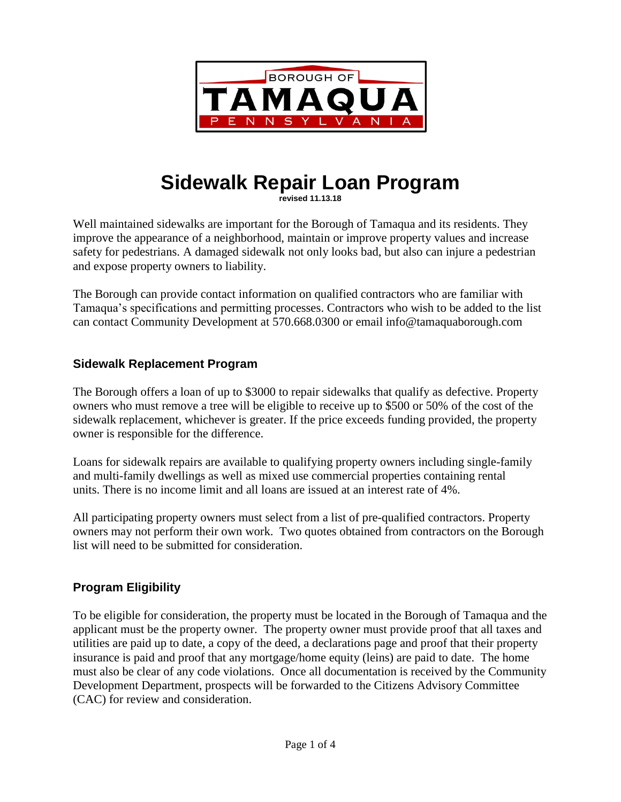

# **Sidewalk Repair Loan Program**

**revised 11.13.18**

Well maintained sidewalks are important for the Borough of Tamaqua and its residents. They improve the appearance of a neighborhood, maintain or improve property values and increase safety for pedestrians. A damaged sidewalk not only looks bad, but also can injure a pedestrian and expose property owners to liability.

The Borough can provide contact information on qualified contractors who are familiar with Tamaqua's specifications and permitting processes. Contractors who wish to be added to the list can contact Community Development at 570.668.0300 or email info@tamaquaborough.com

## **Sidewalk Replacement Program**

The Borough offers a loan of up to \$3000 to repair sidewalks that qualify as defective. Property owners who must remove a tree will be eligible to receive up to \$500 or 50% of the cost of the sidewalk replacement, whichever is greater. If the price exceeds funding provided, the property owner is responsible for the difference.

Loans for sidewalk repairs are available to qualifying property owners including single-family and multi-family dwellings as well as mixed use commercial properties containing rental units. There is no income limit and all loans are issued at an interest rate of 4%.

All participating property owners must select from a list of pre-qualified contractors. Property owners may not perform their own work. Two quotes obtained from contractors on the Borough list will need to be submitted for consideration.

# **Program Eligibility**

To be eligible for consideration, the property must be located in the Borough of Tamaqua and the applicant must be the property owner. The property owner must provide proof that all taxes and utilities are paid up to date, a copy of the deed, a declarations page and proof that their property insurance is paid and proof that any mortgage/home equity (leins) are paid to date. The home must also be clear of any code violations. Once all documentation is received by the Community Development Department, prospects will be forwarded to the Citizens Advisory Committee (CAC) for review and consideration.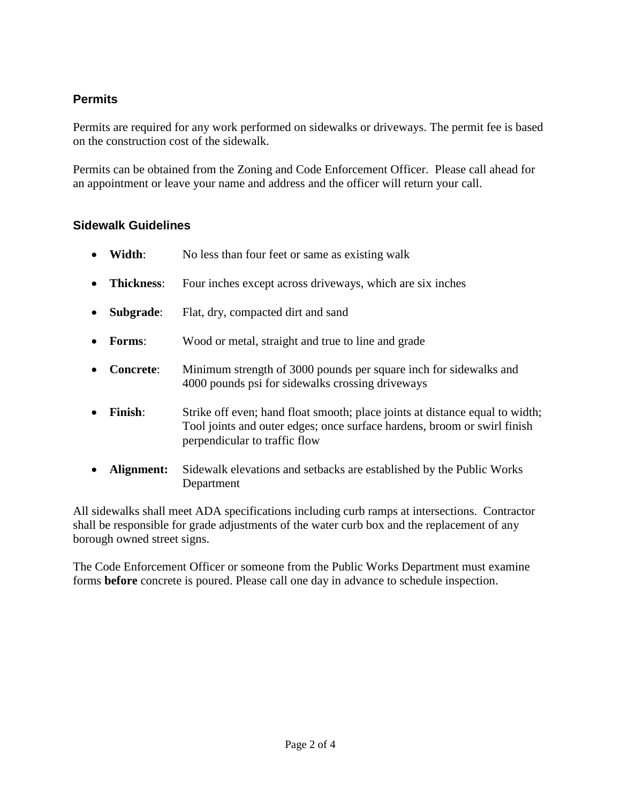## **Permits**

Permits are required for any work performed on sidewalks or driveways. The permit fee is based on the construction cost of the sidewalk.

Permits can be obtained from the Zoning and Code Enforcement Officer. Please call ahead for an appointment or leave your name and address and the officer will return your call.

### **Sidewalk Guidelines**

- **Width:** No less than four feet or same as existing walk
- **Thickness**: Four inches except across driveways, which are six inches
- **Subgrade:** Flat, dry, compacted dirt and sand
- **Forms:** Wood or metal, straight and true to line and grade
- **Concrete:** Minimum strength of 3000 pounds per square inch for sidewalks and 4000 pounds psi for sidewalks crossing driveways
- **Finish**: Strike off even; hand float smooth; place joints at distance equal to width; Tool joints and outer edges; once surface hardens, broom or swirl finish perpendicular to traffic flow
- **Alignment:** Sidewalk elevations and setbacks are established by the Public Works Department

All sidewalks shall meet ADA specifications including curb ramps at intersections. Contractor shall be responsible for grade adjustments of the water curb box and the replacement of any borough owned street signs.

The Code Enforcement Officer or someone from the Public Works Department must examine forms **before** concrete is poured. Please call one day in advance to schedule inspection.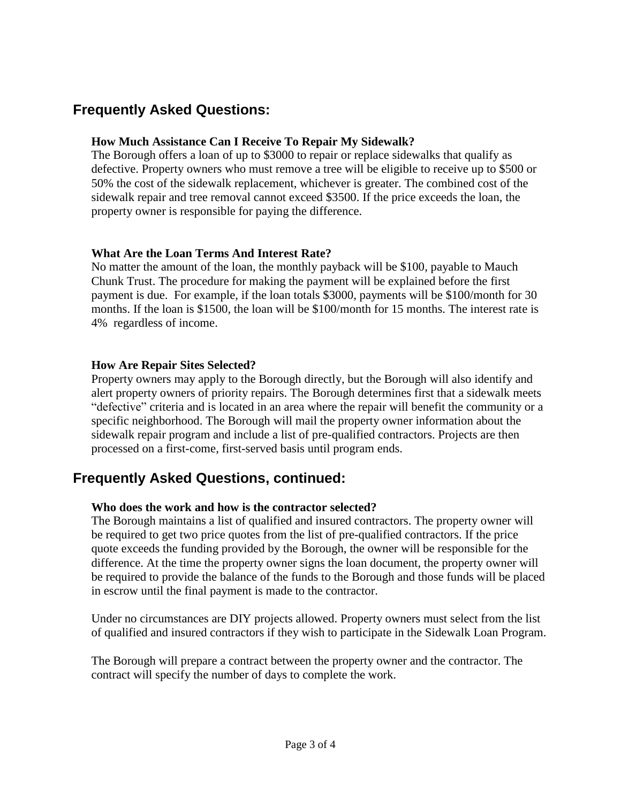# **Frequently Asked Questions:**

#### **How Much Assistance Can I Receive To Repair My Sidewalk?**

The Borough offers a loan of up to \$3000 to repair or replace sidewalks that qualify as defective. Property owners who must remove a tree will be eligible to receive up to \$500 or 50% the cost of the sidewalk replacement, whichever is greater. The combined cost of the sidewalk repair and tree removal cannot exceed \$3500. If the price exceeds the loan, the property owner is responsible for paying the difference.

#### **What Are the Loan Terms And Interest Rate?**

No matter the amount of the loan, the monthly payback will be \$100, payable to Mauch Chunk Trust. The procedure for making the payment will be explained before the first payment is due. For example, if the loan totals \$3000, payments will be \$100/month for 30 months. If the loan is \$1500, the loan will be \$100/month for 15 months. The interest rate is 4% regardless of income.

#### **How Are Repair Sites Selected?**

Property owners may apply to the Borough directly, but the Borough will also identify and alert property owners of priority repairs. The Borough determines first that a sidewalk meets "defective" criteria and is located in an area where the repair will benefit the community or a specific neighborhood. The Borough will mail the property owner information about the sidewalk repair program and include a list of pre-qualified contractors. Projects are then processed on a first-come, first-served basis until program ends.

# **Frequently Asked Questions, continued:**

#### **Who does the work and how is the contractor selected?**

The Borough maintains a list of qualified and insured contractors. The property owner will be required to get two price quotes from the list of pre-qualified contractors. If the price quote exceeds the funding provided by the Borough, the owner will be responsible for the difference. At the time the property owner signs the loan document, the property owner will be required to provide the balance of the funds to the Borough and those funds will be placed in escrow until the final payment is made to the contractor.

Under no circumstances are DIY projects allowed. Property owners must select from the list of qualified and insured contractors if they wish to participate in the Sidewalk Loan Program.

The Borough will prepare a contract between the property owner and the contractor. The contract will specify the number of days to complete the work.